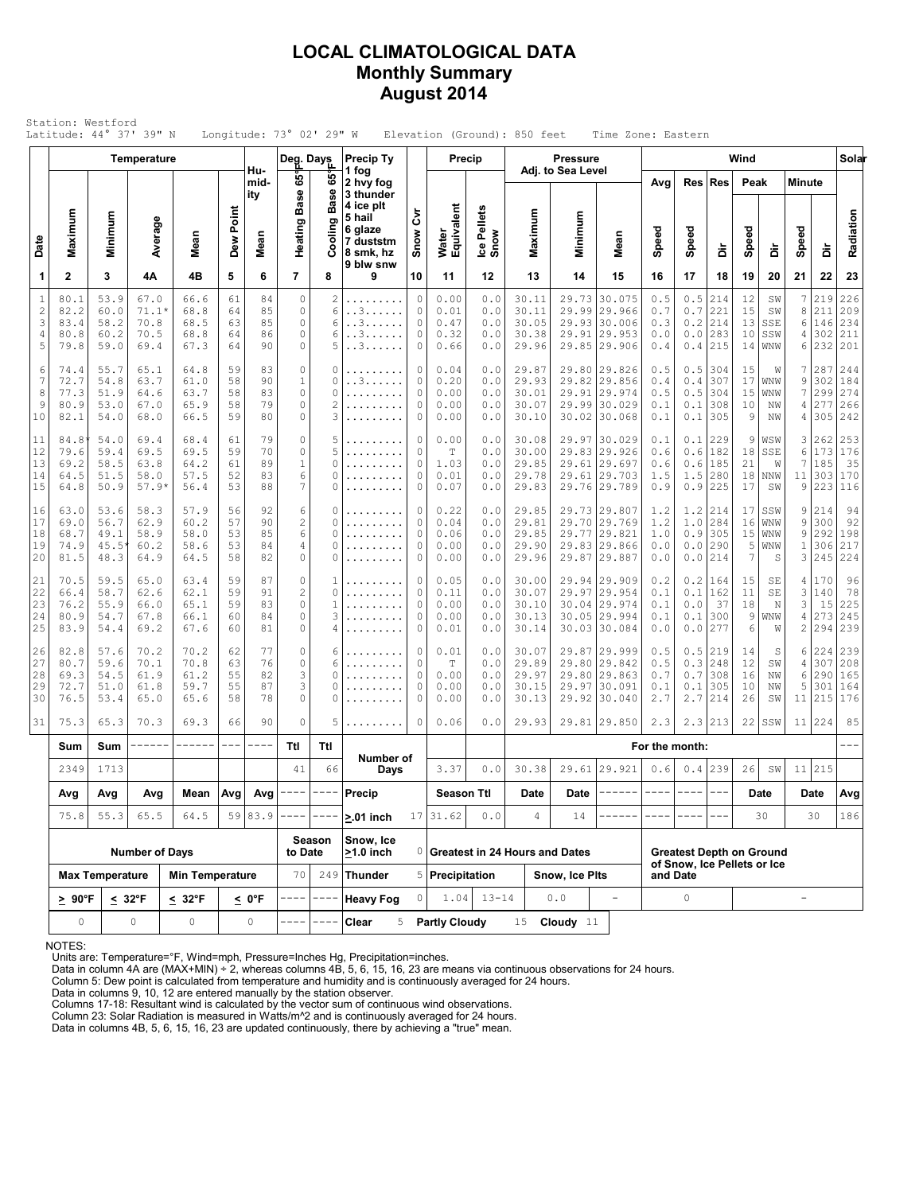### **LOCAL CLIMATOLOGICAL DATA Monthly Summary August 2014**

| Maximum<br>Minimum<br>3<br>53.9<br>80.1<br>82.2<br>60.0<br>83.4<br>58.2<br>80.8<br>60.2<br>79.8<br>59.0<br>55.7<br>74.4<br>72.7<br>54.8<br>77.3<br>51.9<br>80.9<br>53.0<br>82.1<br>54.0<br>84.8<br>54.0<br>79.6<br>59.4<br>58.5<br>69.2<br>64.5<br>51.5<br>64.8<br>50.9<br>63.0<br>53.6<br>69.0<br>56.7 | Average<br>4Α<br>67.0<br>$71.1*$<br>70.8<br>70.5<br>69.4<br>65.1<br>63.7<br>64.6<br>67.0<br>68.0<br>69.4<br>69.5<br>63.8<br>58.0<br>$57.9*$ | Mean<br>4B<br>66.6<br>68.8<br>68.5<br>68.8<br>67.3<br>64.8<br>61.0<br>63.7<br>65.9<br>66.5<br>68.4<br>69.5<br>64.2<br>57.5<br>56.4             | Dew Point<br>5<br>61<br>64<br>63<br>64<br>64<br>59<br>58<br>58<br>58<br>59<br>61<br>59<br>61 | Hu-<br>mid-<br>ity<br>Mean<br>6<br>84<br>85<br>85<br>86<br>90<br>83<br>90<br>83<br>79<br>80<br>79<br>70 | Deg. Days<br>65°<br><b>Base</b><br>Heating<br>$\overline{7}$<br>$\circ$<br>$\mathbb O$<br>$\circ$<br>0<br>0<br>$\mathbb O$<br>$\,1$<br>$\mathsf{O}\xspace$<br>0<br>$\mathbb O$<br>0 | ဖိ<br><b>Base</b><br>ත<br>Cooling<br>8<br>2<br>6<br>6<br>6<br>5<br>0<br>0<br>0<br>2<br>3 | 1 fog<br>2 hvy fog<br>3 thunder<br>4 ice plt<br>5 hail<br>6 glaze<br>7 duststm<br>8 smk, hz<br>9 blw snw<br>9<br>.<br>. . 3<br>. . 3<br>. . 3<br>. . 3<br>.<br>. . 3<br>. | ξ<br>Snow<br>10<br>0<br>0<br>0<br>0<br>0<br>0<br>0 | Water<br>Equivalent<br>11<br>0.00<br>0.01<br>0.47<br>0.32<br>0.66<br>0.04<br>0.20 | Ice Pellets<br>Snow<br>12<br>0.0<br>0.0<br>0.0<br>$\ensuremath{\mathbf 0}$ . $\ensuremath{\mathbf 0}$<br>0.0<br>0.0 | Maximum<br>13<br>30.11<br>30.11<br>30.05<br>30.38<br>29.96 | Adj. to Sea Level<br>Minimum<br>14<br>29.91 | Mean<br>15<br>29.73 30.075<br>29.99 29.966<br>29.93 30.006<br> 29.953        | Avg<br>Speed<br>16<br>0.5<br>0.7<br>0.3<br>0.0<br>0.4                                                                                          | Speed<br>17<br>0.5<br>$0.7\,$<br>0.2<br>0.0<br>0.4 | Res   Res<br>à<br>18<br>214<br>221<br>214<br>283<br>215 | Peak<br>Speed<br>19<br>12<br>15<br>13<br>10                               | à<br>20<br>SW<br>SW<br>SSE<br>SSW | <b>Minute</b><br>Speed<br>21<br>7<br>8<br>6<br>4<br>6 | à<br>22<br>219<br>211<br>146<br>302<br>232                     | Radiation<br>23<br>226<br>209<br>234<br>211  |
|---------------------------------------------------------------------------------------------------------------------------------------------------------------------------------------------------------------------------------------------------------------------------------------------------------|---------------------------------------------------------------------------------------------------------------------------------------------|------------------------------------------------------------------------------------------------------------------------------------------------|----------------------------------------------------------------------------------------------|---------------------------------------------------------------------------------------------------------|-------------------------------------------------------------------------------------------------------------------------------------------------------------------------------------|------------------------------------------------------------------------------------------|---------------------------------------------------------------------------------------------------------------------------------------------------------------------------|----------------------------------------------------|-----------------------------------------------------------------------------------|---------------------------------------------------------------------------------------------------------------------|------------------------------------------------------------|---------------------------------------------|------------------------------------------------------------------------------|------------------------------------------------------------------------------------------------------------------------------------------------|----------------------------------------------------|---------------------------------------------------------|---------------------------------------------------------------------------|-----------------------------------|-------------------------------------------------------|----------------------------------------------------------------|----------------------------------------------|
|                                                                                                                                                                                                                                                                                                         |                                                                                                                                             |                                                                                                                                                |                                                                                              |                                                                                                         |                                                                                                                                                                                     |                                                                                          |                                                                                                                                                                           |                                                    |                                                                                   |                                                                                                                     |                                                            |                                             |                                                                              |                                                                                                                                                |                                                    |                                                         |                                                                           |                                   |                                                       |                                                                |                                              |
|                                                                                                                                                                                                                                                                                                         |                                                                                                                                             |                                                                                                                                                |                                                                                              |                                                                                                         |                                                                                                                                                                                     |                                                                                          |                                                                                                                                                                           |                                                    |                                                                                   |                                                                                                                     |                                                            |                                             |                                                                              |                                                                                                                                                |                                                    |                                                         |                                                                           |                                   |                                                       |                                                                |                                              |
|                                                                                                                                                                                                                                                                                                         |                                                                                                                                             |                                                                                                                                                |                                                                                              |                                                                                                         |                                                                                                                                                                                     |                                                                                          |                                                                                                                                                                           |                                                    |                                                                                   |                                                                                                                     |                                                            |                                             |                                                                              |                                                                                                                                                |                                                    |                                                         |                                                                           |                                   |                                                       |                                                                |                                              |
|                                                                                                                                                                                                                                                                                                         |                                                                                                                                             |                                                                                                                                                |                                                                                              |                                                                                                         |                                                                                                                                                                                     |                                                                                          |                                                                                                                                                                           |                                                    |                                                                                   |                                                                                                                     |                                                            |                                             | 29.85 29.906                                                                 |                                                                                                                                                |                                                    |                                                         | 14                                                                        | WNW                               |                                                       |                                                                | 201                                          |
|                                                                                                                                                                                                                                                                                                         |                                                                                                                                             |                                                                                                                                                |                                                                                              |                                                                                                         |                                                                                                                                                                                     |                                                                                          |                                                                                                                                                                           | 0<br>0<br>0                                        | 0.00<br>0.00<br>0.00                                                              | 0.0<br>0.0<br>0.0<br>0.0                                                                                            | 29.87<br>29.93<br>30.01<br>30.07<br>30.10                  |                                             | 29.80 29.826<br>29.82 29.856<br>29.91 29.974<br>29.99 30.029<br>30.02 30.068 | 0.5<br>0.4<br>0.5<br>0.1<br>0.1                                                                                                                | 0.5<br>0.4<br>$0.5$<br>0.1<br>0.1                  | 304<br>307<br>304<br>308<br>305                         | 15<br>17<br>15<br>10<br>9                                                 | W<br>WNW<br>WNW<br>ΝW<br>NW       | 7<br>9<br>7<br>4<br>4                                 | 287<br>302<br>299<br>277<br>305                                | 244<br>184<br>274<br>266<br>242              |
|                                                                                                                                                                                                                                                                                                         |                                                                                                                                             |                                                                                                                                                | 52<br>53                                                                                     | 89<br>83<br>88                                                                                          | $\mathbb O$<br>$\,1\,$<br>6<br>$\overline{7}$                                                                                                                                       | 5<br>5<br>0<br>0<br>0                                                                    | .<br>.<br>.<br>.<br>.                                                                                                                                                     | 0<br>0<br>0<br>0<br>0                              | 0.00<br>T<br>1.03<br>0.01<br>0.07                                                 | 0.0<br>0.0<br>0.0<br>0.0<br>0.0                                                                                     | 30.08<br>30.00<br>29.85<br>29.78<br>29.83                  |                                             | 29.97 30.029<br>29.83 29.926<br>29.61 29.697<br>29.61 29.703<br>29.76 29.789 | 0.1<br>0.6<br>0.6<br>1.5<br>0.9                                                                                                                | 0.1<br>0.6<br>0.6<br>1.5<br>0.9                    | 229<br>182<br>185<br>280<br>225                         | 9<br>18<br>21<br>18<br>17                                                 | WSW<br>SSE<br>W<br>NNW<br>SW      | 3<br>6<br>7<br>11<br>9                                | 262<br>173<br>185<br>303<br>223                                | 253<br>176<br>35<br>170<br>116               |
| 68.7<br>49.1<br>74.9<br>45.5<br>81.5<br>48.3                                                                                                                                                                                                                                                            | 58.3<br>62.9<br>58.9<br>60.2<br>64.9                                                                                                        | 57.9<br>60.2<br>58.0<br>58.6<br>64.5                                                                                                           | 56<br>57<br>53<br>53<br>58                                                                   | 92<br>90<br>85<br>84<br>82                                                                              | 6<br>$\sqrt{2}$<br>$\epsilon$<br>4<br>$\mathbb O$                                                                                                                                   | 0<br>0<br>0<br>0<br>0                                                                    | .<br>.<br>.                                                                                                                                                               | 0<br>0<br>0<br>0<br>0                              | 0.22<br>0.04<br>0.06<br>0.00<br>0.00                                              | 0.0<br>0.0<br>0.0<br>0.0<br>0.0                                                                                     | 29.85<br>29.81<br>29.85<br>29.90<br>29.96                  |                                             | 29.73 29.807<br>29.70 29.769<br>29.77 29.821<br>29.83 29.866<br>29.87 29.887 | 1.2<br>1.2<br>1.0<br>0.0<br>0.0                                                                                                                | 1.2<br>1.0<br>0.9<br>0.0<br>0.0                    | 214<br>284<br>305<br>290<br>214                         | 17<br>16<br>15<br>5<br>7                                                  | SSW<br>WNW<br>WNW<br>WNW<br>S     | 9<br>9<br>9<br>$\mathbf{1}$<br>3                      | 214<br>300<br>292<br>306<br>245                                | 94<br>92<br>198<br>217<br>224                |
| 70.5<br>59.5<br>58.7<br>66.4<br>76.2<br>55.9<br>80.9<br>54.7<br>83.9                                                                                                                                                                                                                                    | 65.0<br>62.6<br>66.0<br>67.8<br>69.2                                                                                                        | 63.4<br>62.1<br>65.1<br>66.1<br>67.6                                                                                                           | 59<br>59<br>59<br>60<br>60                                                                   | 87<br>91<br>83<br>84<br>81                                                                              | 0<br>$\overline{c}$<br>$\mathbb O$<br>$\mathbb O$<br>$\circ$                                                                                                                        | 1<br>0<br>1<br>3<br>4                                                                    | .                                                                                                                                                                         | 0<br>0<br>0<br>0<br>0                              | 0.05<br>0.11<br>0.00<br>0.00<br>0.01                                              | 0.0<br>0.0<br>0.0<br>0.0<br>$0.0$                                                                                   | 30.00<br>30.07<br>30.10<br>30.13<br>30.14                  |                                             | 29.94 29.909<br>29.97 29.954<br>30.04 29.974<br>30.05 29.994                 | 0.2<br>0.1<br>0.1<br>0.1<br>0.0                                                                                                                | 0.2<br>0.1<br>0.0<br>0.1                           | 164<br>162<br>37<br>300<br>277                          | 15<br>11<br>18<br>9<br>6                                                  | SE<br>SE<br>N<br>WNW<br>W         | 4<br>3<br>3<br>4<br>$\overline{2}$                    | 170<br>140<br>15<br>273                                        | 96<br>78<br>225<br>245<br>239                |
| 82.8<br>80.7<br>69.3<br>72.7<br>76.5                                                                                                                                                                                                                                                                    | 70.2<br>70.1<br>61.9<br>61.8<br>65.0                                                                                                        | 70.2<br>70.8<br>61.2<br>59.7<br>65.6                                                                                                           | 62<br>63<br>55<br>55<br>58                                                                   | 77<br>76<br>82<br>87<br>78                                                                              | $\mathbb O$<br>$\mathbb O$<br>3<br>3<br>$\circ$                                                                                                                                     | 6<br>6<br>0<br>0<br>0                                                                    | .                                                                                                                                                                         | 0<br>0<br>0<br>0<br>0                              | 0.01<br>$\mathbb T$<br>0.00<br>0.00<br>0.00                                       | 0.0<br>0.0<br>0.0<br>$\ensuremath{\mathbf 0}$ . $\ensuremath{\mathbf 0}$<br>0.0                                     | 30.07<br>29.89<br>29.97<br>30.15<br>30.13                  |                                             |                                                                              | 0.5<br>0.5<br>0.7<br>0.1<br>2.7                                                                                                                | 0.7                                                | 219<br>248<br>308<br>305<br>214                         | 14<br>12<br>16<br>10<br>26                                                | S<br>SW<br>NW<br>NW<br>SW         | 6<br>4<br>6<br>5<br>11                                | 307<br>290<br>301<br>215                                       | 239<br>208<br>165<br>164<br>176              |
| 75.3                                                                                                                                                                                                                                                                                                    | 70.3                                                                                                                                        | 69.3                                                                                                                                           | 66                                                                                           | 90                                                                                                      | $\circ$                                                                                                                                                                             | 5                                                                                        | .                                                                                                                                                                         | 0                                                  | 0.06                                                                              | 0.0                                                                                                                 | 29.93                                                      |                                             |                                                                              | 2.3                                                                                                                                            |                                                    | 213                                                     | 22                                                                        |                                   |                                                       |                                                                | 85                                           |
| Sum<br>Sum                                                                                                                                                                                                                                                                                              |                                                                                                                                             | ------                                                                                                                                         | $- - -$                                                                                      | ----                                                                                                    | Ttl                                                                                                                                                                                 | Ttl                                                                                      |                                                                                                                                                                           |                                                    |                                                                                   |                                                                                                                     |                                                            |                                             |                                                                              |                                                                                                                                                |                                                    |                                                         |                                                                           |                                   |                                                       |                                                                |                                              |
| 2349                                                                                                                                                                                                                                                                                                    |                                                                                                                                             |                                                                                                                                                |                                                                                              |                                                                                                         | 41                                                                                                                                                                                  | 66                                                                                       | Days                                                                                                                                                                      |                                                    | 3.37                                                                              | 0.0                                                                                                                 | 30.38                                                      |                                             |                                                                              | 0.6                                                                                                                                            |                                                    | 239                                                     | 26                                                                        | SW                                |                                                       |                                                                |                                              |
| Avg<br>Avg                                                                                                                                                                                                                                                                                              |                                                                                                                                             | Mean                                                                                                                                           |                                                                                              |                                                                                                         |                                                                                                                                                                                     |                                                                                          | Precip                                                                                                                                                                    |                                                    |                                                                                   |                                                                                                                     | Date                                                       | Date                                        |                                                                              |                                                                                                                                                |                                                    |                                                         |                                                                           |                                   |                                                       |                                                                | Avg                                          |
| 75.8                                                                                                                                                                                                                                                                                                    | 65.5                                                                                                                                        | 64.5                                                                                                                                           |                                                                                              |                                                                                                         |                                                                                                                                                                                     |                                                                                          | $> 01$ inch                                                                                                                                                               |                                                    |                                                                                   | 0.0                                                                                                                 | 4                                                          | 14                                          |                                                                              |                                                                                                                                                |                                                    |                                                         |                                                                           |                                   |                                                       |                                                                | 186                                          |
|                                                                                                                                                                                                                                                                                                         |                                                                                                                                             |                                                                                                                                                |                                                                                              |                                                                                                         |                                                                                                                                                                                     |                                                                                          | Snow, Ice<br>$\geq$ 1.0 inch                                                                                                                                              |                                                    |                                                                                   |                                                                                                                     |                                                            |                                             |                                                                              |                                                                                                                                                |                                                    |                                                         |                                                                           |                                   |                                                       |                                                                |                                              |
|                                                                                                                                                                                                                                                                                                         |                                                                                                                                             |                                                                                                                                                |                                                                                              |                                                                                                         | 70                                                                                                                                                                                  | 249                                                                                      | <b>Thunder</b>                                                                                                                                                            |                                                    |                                                                                   |                                                                                                                     |                                                            |                                             |                                                                              |                                                                                                                                                |                                                    |                                                         |                                                                           |                                   |                                                       |                                                                |                                              |
|                                                                                                                                                                                                                                                                                                         |                                                                                                                                             |                                                                                                                                                |                                                                                              |                                                                                                         |                                                                                                                                                                                     |                                                                                          | <b>Heavy Fog</b>                                                                                                                                                          | O                                                  |                                                                                   |                                                                                                                     |                                                            |                                             | $\equiv$                                                                     |                                                                                                                                                | $\circ$                                            |                                                         |                                                                           |                                   | $\overline{\phantom{a}}$                              |                                                                |                                              |
|                                                                                                                                                                                                                                                                                                         |                                                                                                                                             | 54.4<br>57.6<br>59.6<br>54.5<br>51.0<br>53.4<br>65.3<br>1713<br>Avg<br>55.3<br><b>Max Temperature</b><br>$< 32^{\circ}F$<br>$\geq 90^{\circ}F$ | <b>Number of Days</b><br>$\leq 32^{\circ}$ F                                                 |                                                                                                         | 59 83.9<br><b>Min Temperature</b><br>< 0°F                                                                                                                                          | Avg $\vert$ Avg $\vert$ ----<br>$\mathbb O$<br>0<br>0<br>$\circ$                         | Season<br>to Date                                                                                                                                                         |                                                    | Number of                                                                         | 17 31.62                                                                                                            | Season Ttl<br>5 Precipitation                              | $1.04$ 13-14                                | 0 Greatest in 24 Hours and Dates<br>0.0                                      | 30.03 30.084<br>29.87 29.999<br>29.80 29.842<br>29.80 29.863<br>29.97 30.091<br>29.92 30.040<br>29.81 29.850<br>29.61 29.921<br>Snow, Ice Plts |                                                    | and Date                                                | 0.0<br>0.5<br>0.3<br>0.1<br>2.7<br>2.3<br>For the month:<br>0.4<br>$----$ |                                   | SSW<br>Date<br>30                                     | <b>Greatest Depth on Ground</b><br>of Snow, Ice Pellets or Ice | 294<br>224<br>11 224<br>11 215<br>Date<br>30 |

NOTES:

Units are: Temperature=°F, Wind=mph, Pressure=Inches Hg, Precipitation=inches. Data in column 4A are (MAX+MIN) ÷ 2, whereas columns 4B, 5, 6, 15, 16, 23 are means via continuous observations for 24 hours.

Column 5: Dew point is calculated from temperature and humidity and is continuously averaged for 24 hours. Data in columns 9, 10, 12 are entered manually by the station observer.

Columns 17-18: Resultant wind is calculated by the vector sum of continuous wind observations.<br>Column 23: Solar Radiation is measured in Watts/m^2 and is continuously averaged for 24 hours.<br>Data in columns 4B, 5, 6, 15, 16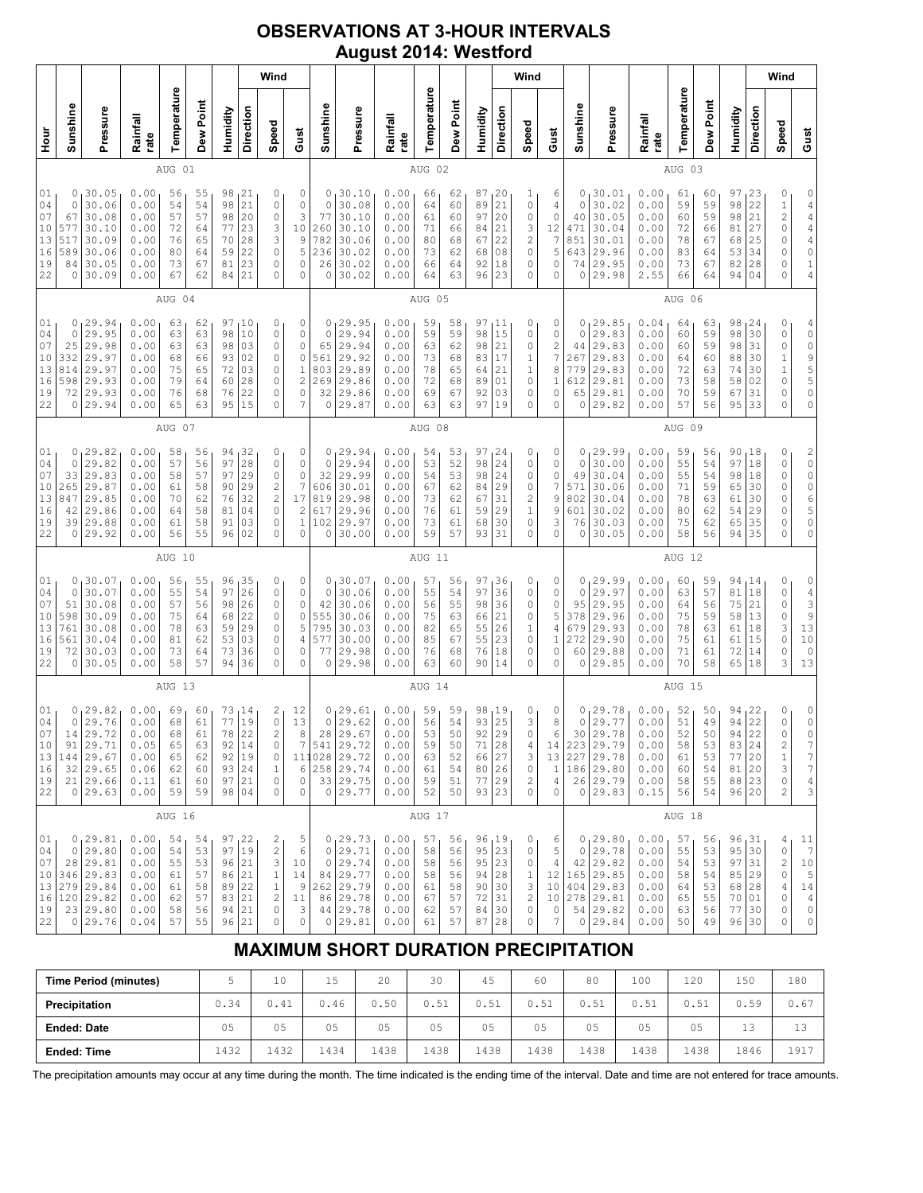## **OBSERVATIONS AT 3-HOUR INTERVALS August 2014: Westford**

|                                                |                                                   |                                                                                               |                                                              |                                              |                                              |                                                                      |                                              | Wind                                                                             |                                                                                     |                                                     |                                                                                             |                                                              |                                              |                                              |                                              |                                                  | Wind                                                       |                                                                |                                              |                                                                                                         |                                                              |                                              |                                              |                                                                    |                                               | Wind                                                                |                                                                                                   |
|------------------------------------------------|---------------------------------------------------|-----------------------------------------------------------------------------------------------|--------------------------------------------------------------|----------------------------------------------|----------------------------------------------|----------------------------------------------------------------------|----------------------------------------------|----------------------------------------------------------------------------------|-------------------------------------------------------------------------------------|-----------------------------------------------------|---------------------------------------------------------------------------------------------|--------------------------------------------------------------|----------------------------------------------|----------------------------------------------|----------------------------------------------|--------------------------------------------------|------------------------------------------------------------|----------------------------------------------------------------|----------------------------------------------|---------------------------------------------------------------------------------------------------------|--------------------------------------------------------------|----------------------------------------------|----------------------------------------------|--------------------------------------------------------------------|-----------------------------------------------|---------------------------------------------------------------------|---------------------------------------------------------------------------------------------------|
| 늘<br>모                                         | Sunshine                                          | Pressure                                                                                      | Rainfall<br>rate                                             | Temperature                                  | Dew Point                                    | Humidity                                                             | Direction                                    | Speed                                                                            | Gust                                                                                | Sunshine                                            | Pressure                                                                                    | Rainfall<br>rate                                             | Temperature                                  | Dew Point                                    | Humidity                                     | Direction                                        | Speed                                                      | Gust                                                           | Sunshine                                     | Pressure                                                                                                | Rainfall<br>rate                                             | Temperature                                  | Dew Point                                    | Humidity                                                           | Direction                                     | Speed                                                               | Gust                                                                                              |
|                                                |                                                   |                                                                                               |                                                              | AUG 01                                       |                                              |                                                                      |                                              |                                                                                  |                                                                                     |                                                     |                                                                                             |                                                              | AUG 02                                       |                                              |                                              |                                                  |                                                            |                                                                |                                              |                                                                                                         |                                                              | AUG 03                                       |                                              |                                                                    |                                               |                                                                     |                                                                                                   |
| 01<br>04<br>07<br>10<br>13<br>16<br>19<br>22   | 0<br>0<br>67<br>577<br>517<br>589<br>84<br>0      | 30.05<br>30.06<br>30.08<br>30.10<br>30.09<br>30.06<br>30.05<br>30.09                          | 0.00<br>0.00<br>0.00<br>0.00<br>0.00<br>0.00<br>0.00<br>0.00 | 56<br>54<br>57<br>72<br>76<br>80<br>73<br>67 | 55<br>54<br>57<br>64<br>65<br>64<br>67<br>62 | 98<br>98<br>98<br>77<br>70<br>59<br>81<br>84                         | 21<br>21<br>20<br>23<br>28<br>22<br>23<br>21 | 0<br>0<br>0<br>3<br>3<br>0<br>0<br>0                                             | 0<br>$\mathbb O$<br>3<br>10<br>9<br>5<br>0<br>0                                     | $\circ$<br>77<br>260<br>782<br>236<br>26<br>0       | 0, 30.10<br>30.08<br>30.10<br>30.10<br>30.06<br>30.02<br>30.02<br>30.02                     | 0.00<br>0.00<br>0.00<br>0.00<br>0.00<br>0.00<br>0.00<br>0.00 | 66<br>64<br>61<br>71<br>80<br>73<br>66<br>64 | 62<br>60<br>60<br>66<br>68<br>62<br>64<br>63 | 87<br>89<br>97<br>84<br>67<br>68<br>92<br>96 | 120<br>21<br>20<br>21<br>22<br>08<br>18<br>23    | 1<br>0<br>0<br>3<br>2<br>$\mathsf{O}\xspace$<br>0<br>0     | 6<br>4<br>0<br>12<br>7<br>5<br>0<br>0                          | 0<br>0<br>40<br>471<br>851<br>74<br>0        | 130.01<br>30.02<br>30.05<br>30.04<br>30.01<br>643 29.96<br>29.95<br>29.98                               | 0.00<br>0.00<br>0.00<br>0.00<br>0.00<br>0.00<br>0.00<br>2.55 | 61<br>59<br>60<br>72<br>78<br>83<br>73<br>66 | 60<br>59<br>59<br>66<br>67<br>64<br>67<br>64 | 97<br>98<br>98<br>81<br>68<br>53<br>82<br>94                       | 123<br>22<br>21<br>27<br>25<br>34<br>28<br>04 | 0<br>$\mathbf 1$<br>$\overline{c}$<br>0<br>0<br>0<br>0<br>0         | 0<br>$\frac{4}{4}$<br>$\begin{array}{c} 4 \\ 4 \\ 0 \end{array}$<br>$\mathbf 1$<br>$\overline{4}$ |
|                                                |                                                   |                                                                                               |                                                              | AUG 04                                       |                                              |                                                                      |                                              |                                                                                  |                                                                                     |                                                     |                                                                                             |                                                              | AUG 05                                       |                                              |                                              |                                                  |                                                            |                                                                |                                              |                                                                                                         |                                                              | AUG 06                                       |                                              |                                                                    |                                               |                                                                     |                                                                                                   |
| 01<br>04<br>07<br>10<br>13<br>16<br>19<br>22   | 0<br>0<br>25<br>332<br>814<br>598<br>72<br>0      | 29.94<br>29.95<br>29.98<br>29.97<br>29.97<br>29.93<br>29.93<br>29.94                          | 0.00<br>0.00<br>0.00<br>0.00<br>0.00<br>0.00<br>0.00<br>0.00 | 63<br>63<br>63<br>68<br>75<br>79<br>76<br>65 | 62<br>63<br>63<br>66<br>65<br>64<br>68<br>63 | 97<br>98<br>98<br>93<br>72<br>60<br>76<br>95                         | 10<br>10<br>03<br>02<br>03<br>28<br>22<br>15 | 0<br>0<br>0<br>0<br>0<br>0<br>0<br>0                                             | 0<br>$\mathbb O$<br>0<br>0<br>$\mathbf 1$<br>$\overline{c}$<br>0<br>7               | $\circ$<br>65<br>561<br>803<br>269<br>32<br>$\circ$ | 0, 29.95<br>29.94<br>29.94<br>29.92<br>29.89<br>29.86<br>29.86<br>29.87                     | 0.00<br>0.00<br>0.00<br>0.00<br>0.00<br>0.00<br>0.00<br>0.00 | 59<br>59<br>63<br>73<br>78<br>72<br>69<br>63 | 58<br>59<br>62<br>68<br>65<br>68<br>67<br>63 | 97<br>98<br>98<br>83<br>64<br>89<br>92<br>97 | 11<br>15<br>21<br>17<br>21<br>01<br>03<br>19     | 0<br>0<br>0<br>1<br>$\,1\,$<br>$\mathbb O$<br>0<br>0       | 0<br>0<br>2<br>7<br>8<br>1<br>0<br>0                           | 0<br>0<br>44<br>267<br>779<br>612<br>65      | 129.85<br>29.83<br>29.83<br>29.83<br>29.83<br>29.81<br>29.81<br>0 29.82                                 | 0.04<br>0.00<br>0.00<br>0.00<br>0.00<br>0.00<br>0.00<br>0.00 | 64<br>60<br>60<br>64<br>72<br>73<br>70<br>57 | 63<br>59<br>59<br>60<br>63<br>58<br>59<br>56 | 98<br>98<br>98<br>88<br>74<br>58<br>67<br>95                       | 24<br>30<br>31<br>30<br>30<br>02<br>31<br>33  | 0<br>$\mathbb O$<br>0<br>$\mathbf{1}$<br>$\mathbf 1$<br>0<br>0<br>0 | $\begin{array}{c} 4 \\ 0 \end{array}$<br>09550<br>$\mathbb O$                                     |
|                                                |                                                   | AUG 07                                                                                        |                                                              |                                              |                                              |                                                                      |                                              |                                                                                  |                                                                                     |                                                     |                                                                                             |                                                              | AUG 08                                       |                                              |                                              |                                                  |                                                            |                                                                |                                              |                                                                                                         |                                                              | AUG 09                                       |                                              |                                                                    |                                               |                                                                     |                                                                                                   |
| 01<br>04<br>07<br>10<br>$13$<br>16<br>19<br>22 | 0<br>$\circ$<br>33<br>265<br>847<br>42<br>39<br>0 | 29.82<br>29.82<br>29.83<br>29.87<br>29.85<br>29.86<br>29.88<br>29.92                          | 0.00<br>0.00<br>0.00<br>0.00<br>0.00<br>0.00<br>0.00<br>0.00 | 58<br>57<br>58<br>61<br>70<br>64<br>61<br>56 | 56<br>56<br>57<br>58<br>62<br>58<br>58<br>55 | 94<br>97<br>97<br>90<br>76<br>81<br>91<br>96                         | 32<br>28<br>29<br>29<br>32<br>04<br>03<br>02 | 0<br>0<br>0<br>$\overline{\mathbf{c}}$<br>$\overline{\mathbf{c}}$<br>0<br>0<br>0 | 0<br>0<br>0<br>$\boldsymbol{7}$<br>17<br>$\mathbf{2}$<br>$\mathbf 1$<br>$\mathbf 0$ | 0<br>$\circ$<br>32<br>606<br>819<br>617<br>102<br>0 | 29.94<br>29.94<br>29.99<br>30.01<br>29.98<br>29.96<br>29.97<br>30.00                        | 0.00<br>0.00<br>0.00<br>0.00<br>0.00<br>0.00<br>0.00<br>0.00 | 54<br>53<br>54<br>67<br>73<br>76<br>73<br>59 | 53<br>52<br>53<br>62<br>62<br>61<br>61<br>57 | 97<br>98<br>98<br>84<br>67<br>59<br>68<br>93 | 24<br> 24<br>24<br>29<br>31<br>29<br>30<br>31    | 0<br>0<br>0<br>0<br>$\overline{\mathbf{c}}$<br>1<br>0<br>0 | 0<br>0<br>0<br>7<br>9<br>9<br>3<br>0                           | 0<br>0<br>49<br>571<br>802<br>601<br>76<br>0 | 129.99<br>30.00<br>30.04<br>30.06<br>30.04<br>30.02<br>30.03<br>30.05                                   | 0.00<br>0.00<br>0.00<br>0.00<br>0.00<br>0.00<br>0.00<br>0.00 | 59<br>55<br>55<br>71<br>78<br>80<br>75<br>58 | 56<br>54<br>54<br>59<br>63<br>62<br>62<br>56 | 90<br>97<br>98<br>65<br>61<br>54<br>65<br>94                       | 18,<br>18<br>18<br>30<br>30<br>29<br>35<br>35 | 0<br>0<br>0<br>0<br>0<br>0<br>0<br>0                                | $\begin{array}{c}\n2 \\ 0 \\ 0 \\ 0\n\end{array}$<br>б<br>5<br>$\mathbb O$<br>$\mathsf{O}\xspace$ |
|                                                |                                                   |                                                                                               |                                                              | AUG 10                                       |                                              |                                                                      |                                              |                                                                                  |                                                                                     |                                                     |                                                                                             |                                                              | AUG 11                                       |                                              |                                              |                                                  |                                                            |                                                                |                                              |                                                                                                         |                                                              | AUG 12                                       |                                              |                                                                    |                                               |                                                                     |                                                                                                   |
| 01<br>04<br>07<br>10<br>13<br>16<br>19<br>22   | 0<br>0<br>51<br>598<br>761<br>561<br>72<br>0      | 30.07<br>30.07<br>30.08<br>30.09<br>30.08<br>30.04<br>30.03<br>30.05                          | 0.00<br>0.00<br>0.00<br>0.00<br>0.00<br>0.00<br>0.00<br>0.00 | 56<br>55<br>57<br>75<br>78<br>81<br>73<br>58 | 55<br>54<br>56<br>64<br>63<br>62<br>64<br>57 | 96<br>97<br>98<br>68<br>59<br>53<br>73<br>94                         | 35<br>26<br>26<br>22<br>29<br>03<br>36<br>36 | 0<br>0<br>0<br>0<br>0<br>0<br>0<br>0                                             | 0<br>0<br>0<br>$\mathbb O$<br>5<br>4<br>0<br>0                                      | $\mathbf 0$<br>42<br>555<br>795<br>577<br>77<br>0   | 0, 30.07<br>30.06<br>30.06<br>30.06<br>30.03<br>30.00<br>29.98<br>29.98                     | 0.00<br>0.00<br>0.00<br>0.00<br>0.00<br>0.00<br>0.00<br>0.00 | 57<br>55<br>56<br>75<br>82<br>85<br>76<br>63 | 56<br>54<br>55<br>63<br>65<br>67<br>68<br>60 | 97<br>97<br>98<br>66<br>55<br>55<br>76<br>90 | 36<br>36<br>36<br>21<br>26<br>23<br>18<br>14     | 0<br>0<br>0<br>0<br>1<br>0<br>0<br>0                       | 0<br>0<br>$\mathbb O$<br>5<br>4<br>1<br>0<br>0                 | 0<br>0<br>95<br>378<br>679<br>272<br>0       | 129.99<br>29.97<br>29.95<br>29.96<br>29.93<br>29.90<br>60 29.88<br>29.85                                | 0.00<br>0.00<br>0.00<br>0.00<br>0.00<br>0.00<br>0.00<br>0.00 | 60<br>63<br>64<br>75<br>78<br>75<br>71<br>70 | 59<br>57<br>56<br>59<br>63<br>61<br>61<br>58 | 94<br>81<br>75<br>58<br>61<br>61<br>72<br>65                       | 14،<br>18<br>21<br>13<br>18<br>15<br>14<br>18 | 0<br>0<br>$\mathbb O$<br>0<br>3<br>0<br>0<br>3                      | 0<br>$4$<br>$3$<br>$9$<br>$13$<br>$10$<br>$\circ$<br>13                                           |
|                                                |                                                   |                                                                                               |                                                              | AUG 13                                       |                                              |                                                                      |                                              |                                                                                  |                                                                                     |                                                     |                                                                                             |                                                              | AUG 14                                       |                                              |                                              |                                                  |                                                            |                                                                |                                              |                                                                                                         |                                                              | AUG 15                                       |                                              |                                                                    |                                               |                                                                     |                                                                                                   |
| 01<br>04<br>07<br>10<br>13<br>16<br>19<br>22   | 0<br>14<br>91                                     | 0, 29.82<br>29.76<br>29.72<br>29.71<br>144 29.67<br>$32 \mid 29.65$<br>21 29.66<br>0 29.63    | 0.00<br>0.00<br>0.00<br>0.05<br>0.00<br>0.06<br>0.11<br>0.00 | 69<br>68<br>68<br>65<br>65<br>62<br>61<br>59 | 60<br>61<br>61<br>63<br>62<br>60<br>60<br>59 | 73, 14<br>77<br>78<br>92<br>92 19<br>93   24<br>97 21<br>98 04       | 19<br>22<br> 14                              | 2<br>$\mathbb O$<br>$\overline{c}$<br>0<br>0<br>$\mathbf 1$<br>0<br>0            | 12<br>13<br>8<br>7<br>6<br>0<br>0                                                   | $\mathbb O$<br>28                                   | 0, 29.61<br>29.62<br>29.67<br>541 29.72<br>111028 29.72<br>258 29.74<br>33 29.75<br>0 29.77 | 0.00<br>0.00<br>0.00<br>0.00<br>0.00<br>0.00<br>0.00<br>0.00 | 59<br>56<br>53<br>59<br>63<br>61<br>59<br>52 | 59<br>54<br>50<br>50<br>52<br>54<br>51<br>50 | 98<br>93<br>92<br>71<br>66<br>80<br>77 29    | 19 ا<br> 25<br>29<br>28<br> 27<br>26<br>93 23    | 0<br>3<br>0<br>4<br>3<br>0<br>2<br>0                       | 0<br>8<br>6<br>14<br>$\mathbf{1}$<br>$\overline{4}$<br>$\circ$ | 0                                            | 0, 29.78<br>29.77<br>30 29.78<br>223 29.79<br>13 227 29.78<br>186 29.80<br>26 29.79<br>0 29.83          | 0.00<br>0.00<br>0.00<br>0.00<br>0.00<br>0.00<br>0.00<br>0.15 | 52<br>51<br>52<br>58<br>61<br>60<br>58<br>56 | 50<br>49<br>50<br>53<br>53<br>54<br>55<br>54 | 94<br>94<br>94<br>83 24<br>77<br>81 20<br>88 23<br>96 20           | 122<br>22<br>22<br>20                         | 0<br>$\mathbb O$<br>0<br>2<br>$\,1$<br>3<br>0<br>$\overline{c}$     | 0<br>$\mathbb O$<br>$\mathbb O$<br>7<br>7<br>$\boldsymbol{7}$<br>$\overline{4}$<br>3              |
|                                                |                                                   |                                                                                               |                                                              | AUG 16                                       |                                              |                                                                      |                                              |                                                                                  |                                                                                     |                                                     |                                                                                             |                                                              | AUG 17                                       |                                              |                                              |                                                  |                                                            |                                                                |                                              |                                                                                                         |                                                              | AUG 18                                       |                                              |                                                                    |                                               |                                                                     |                                                                                                   |
| 01<br>04<br>07<br>10<br>13<br>16<br>19<br>22   |                                                   | 0, 29.81<br>0 29.80<br>28 29.81<br>346 29.83<br>279 29.84<br>120 29.82<br>23 29.80<br>0 29.76 | 0.00<br>0.00<br>0.00<br>0.00<br>0.00<br>0.00<br>0.00<br>0.04 | 54<br>54<br>55<br>61<br>61<br>62<br>58<br>57 | 54<br>53<br>53<br>57<br>58<br>57<br>56<br>55 | 97,22<br>97 19<br>96 21<br>86 21<br>89 22<br>83 21<br>94 21<br>96 21 |                                              | 2<br>$\sqrt{2}$<br>3<br>$\mathbf 1$<br>$\mathbf{1}$<br>2<br>$\mathbb O$<br>0     | 5<br>$\epsilon$<br>10<br>14<br>9<br>11<br>3<br>0                                    | $\circ$<br>0                                        | 0, 29.73<br>29.71<br>29.74<br>84 29.77<br>262 29.79<br>86 29.78<br>44 29.78<br>0 29.81      | 0.00<br>0.00<br>0.00<br>0.00<br>0.00<br>0.00<br>0.00<br>0.00 | 57<br>58<br>58<br>58<br>61<br>67<br>62<br>61 | 56<br>56<br>56<br>56<br>58<br>57<br>57<br>57 | 96, 19<br>94<br>90<br>72<br>87               | 95 23<br>95 23<br> 28<br>30<br>31<br>84 30<br>28 | 0<br>0<br>0<br>1<br>3<br>2<br>0<br>0                       | 6<br>5<br>4<br>12<br>10 <sub>1</sub><br>0<br>7                 |                                              | 0, 29.80<br>0 29.78<br>$42 \mid 29.82$<br>165 29.85<br>404 29.83<br>10 278 29.81<br>54 29.82<br>0 29.84 | 0.00<br>0.00<br>0.00<br>0.00<br>0.00<br>0.00<br>0.00<br>0.00 | 57<br>55<br>54<br>58<br>64<br>65<br>63<br>50 | 56<br>53<br>53<br>54<br>53<br>55<br>56<br>49 | 96,31<br>95 30<br>97 31<br>85 29<br>68 28<br>70 01<br>77 <br>96 30 | 30                                            | 4<br>$\mathbb O$<br>2<br>0<br>4<br>0<br>0<br>0                      | 11<br>$\boldsymbol{7}$<br>10<br>5<br>$1\,4$<br>$\sqrt{4}$<br>$\mathbb O$<br>$\mathbb O$           |

# **MAXIMUM SHORT DURATION PRECIPITATION**

| <b>Time Period (minutes)</b> |      | 10   | 15   | 20   | 30   | 45   | 60             | 80   | 100  | 120  | 150  | 180  |
|------------------------------|------|------|------|------|------|------|----------------|------|------|------|------|------|
| Precipitation                | 0.34 | 0.41 | 0.46 | 0.50 | 0.51 | 0.51 | 0.51           | 0.51 | 0.51 | 0.51 | 0.59 | 0.67 |
| <b>Ended: Date</b>           | 05   | 05   | 05   | 05   | 05   | 05   | 0 <sub>5</sub> | 05   | 05   | 05   | 12   | 13   |
| <b>Ended: Time</b>           | 1432 | 1432 | ⊥434 | 1438 | 1438 | 1438 | 1438           | 1438 | 1438 | 1438 | 1846 | 1917 |

The precipitation amounts may occur at any time during the month. The time indicated is the ending time of the interval. Date and time are not entered for trace amounts.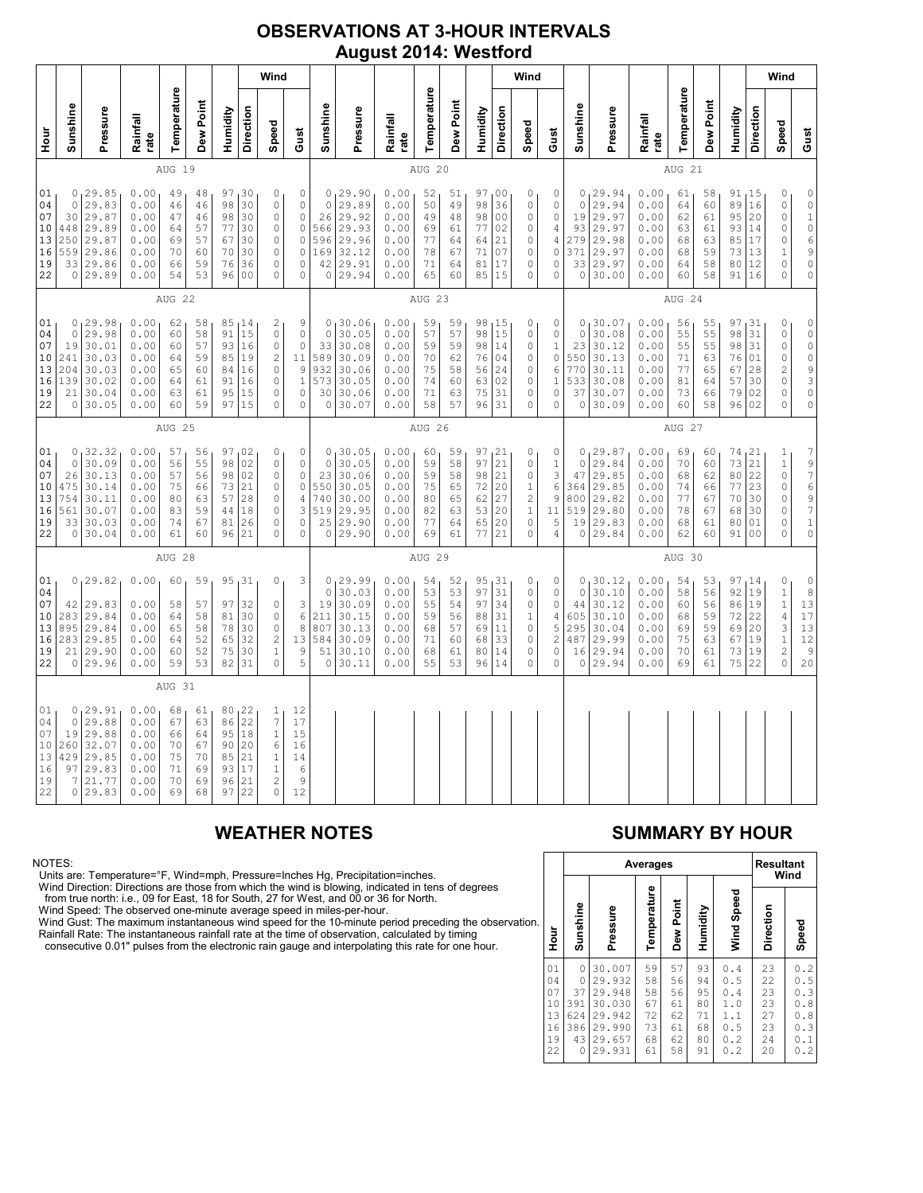### **OBSERVATIONS AT 3-HOUR INTERVALS August 2014: Westford**

|                                              |                                                               |                                                                           |                                                              |                                              |                                              |                                              |                                                          | Wind                                                                                               |                                                                                    |                                                              |                                                                          |                                                              |                                              |                                              |                                              |                                                                      | Wind                                                                                        |                                                        |                                                              |                                                                      |                                                              |                                              |                                              |                                                  |                                                           | Wind                                                                                                   |                                                                                                         |
|----------------------------------------------|---------------------------------------------------------------|---------------------------------------------------------------------------|--------------------------------------------------------------|----------------------------------------------|----------------------------------------------|----------------------------------------------|----------------------------------------------------------|----------------------------------------------------------------------------------------------------|------------------------------------------------------------------------------------|--------------------------------------------------------------|--------------------------------------------------------------------------|--------------------------------------------------------------|----------------------------------------------|----------------------------------------------|----------------------------------------------|----------------------------------------------------------------------|---------------------------------------------------------------------------------------------|--------------------------------------------------------|--------------------------------------------------------------|----------------------------------------------------------------------|--------------------------------------------------------------|----------------------------------------------|----------------------------------------------|--------------------------------------------------|-----------------------------------------------------------|--------------------------------------------------------------------------------------------------------|---------------------------------------------------------------------------------------------------------|
| 날<br>모                                       | Sunshine                                                      | Pressure                                                                  | Rainfall<br>rate                                             | Temperature                                  | Dew Point                                    | Humidity                                     | Direction                                                | Speed                                                                                              | Gust                                                                               | Sunshine                                                     | Pressure                                                                 | Rainfall<br>rate                                             | Temperature                                  | Dew Point                                    | Humidity                                     | Direction                                                            | Speed                                                                                       | Gust                                                   | Sunshine                                                     | Pressure                                                             | Rainfall<br>rate                                             | Temperature                                  | Dew Point                                    | Humidity                                         | Direction                                                 | Speed                                                                                                  | Gust                                                                                                    |
|                                              |                                                               |                                                                           |                                                              | AUG 19                                       |                                              |                                              |                                                          |                                                                                                    |                                                                                    |                                                              |                                                                          |                                                              | AUG 20                                       |                                              |                                              |                                                                      |                                                                                             |                                                        |                                                              |                                                                      |                                                              | AUG 21                                       |                                              |                                                  |                                                           |                                                                                                        |                                                                                                         |
| 01<br>04<br>07<br>10<br>13<br>16<br>19<br>22 | 0<br>$\circ$<br>30<br>448<br>250<br>559                       | 29.85<br>29.83<br>29.87<br>29.89<br>29.87<br>29.86<br>33 29.86<br>0 29.89 | 0.00<br>0.00<br>0.00<br>0.00<br>0.00<br>0.00<br>0.00<br>0.00 | 49<br>46<br>47<br>64<br>69<br>70<br>66<br>54 | 48<br>46<br>46<br>57<br>57<br>60<br>59<br>53 | 97<br>98<br>98<br>77<br>67<br>70<br>76<br>96 | 30<br>30<br>30<br>30<br>30<br>30<br>36<br>0 <sub>0</sub> | 0<br>$\circ$<br>$\circ$<br>$\mathbf 0$<br>$\mathbf 0$<br>0<br>$\circ$<br>$\mathbf 0$               | $\circ$<br>0<br>0<br>$\circ$<br>$\circ$<br>0<br>$\circ$<br>0                       | 0<br>$\circ$<br>26<br>566<br>596<br>169<br>42<br>0           | 29.90<br>29.89<br>29.92<br>29.93<br>29.96<br>32.12<br>29.91<br>29.94     | 0.00<br>0.00<br>0.00<br>0.00<br>0.00<br>0.00<br>0.00<br>0.00 | 52<br>50<br>49<br>69<br>77<br>78<br>71<br>65 | 51<br>49<br>48<br>61<br>64<br>67<br>64<br>60 | 97<br>98<br>98<br>77<br>64<br>71<br>81<br>85 | 0 <sub>0</sub><br>36<br>0 <sub>0</sub><br>02<br>21<br>07<br>17<br>15 | 0<br>0<br>$\circ$<br>$\mathbf 0$<br>$\circ$<br>0<br>0<br>$\circ$                            | 0<br>0<br>0<br>4<br>4<br>0<br>0<br>0                   | 0<br>$\circ$<br>19<br>93<br>279<br>371<br>33<br>0            | 29.94<br>29.94<br>29.97<br>29.97<br>29.98<br>29.97<br>29.97<br>30.00 | 0.00<br>0.00<br>0.00<br>0.00<br>0.00<br>0.00<br>0.00<br>0.00 | 61<br>64<br>62<br>63<br>68<br>68<br>64<br>60 | 58<br>60<br>61<br>61<br>63<br>59<br>58<br>58 | 91, 15<br>89<br>95<br>93<br>85<br>73<br>80<br>91 | 16<br>20<br>14<br>17<br>13<br>12<br>16                    | 0<br>$\mathbb O$<br>0<br>0<br>0<br>1<br>0<br>0                                                         | $\mathbb O$<br>$\mathbb O$<br>$\mathbf 1$<br>$\circ$<br>$\epsilon$<br>9<br>$\mathbf 0$<br>$\circ$       |
|                                              |                                                               |                                                                           |                                                              | AUG 22                                       |                                              |                                              |                                                          |                                                                                                    |                                                                                    |                                                              |                                                                          |                                                              | AUG 23                                       |                                              |                                              |                                                                      |                                                                                             |                                                        | AUG 24                                                       |                                                                      |                                                              |                                              |                                              |                                                  |                                                           |                                                                                                        |                                                                                                         |
| 01<br>04<br>07<br>10<br>13<br>16<br>19<br>22 | 0<br>$\mathsf{O}$<br>19<br>241<br>204<br>139<br>21<br>$\circ$ | 129.98<br>29.98<br>30.01<br>30.03<br>30.03<br>30.02<br>30.04<br>30.05     | 0.00<br>0.00<br>0.00<br>0.00<br>0.00<br>0.00<br>0.00<br>0.00 | 62<br>60<br>60<br>64<br>65<br>64<br>63<br>60 | 58<br>58<br>57<br>59<br>60<br>61<br>61<br>59 | 91<br>93<br>85<br>84<br>91<br>95<br>97       | 85, 14<br>15<br>16<br>19<br>16<br>16<br>15<br>15         | $\mathbf{2}$<br>$\circ$<br>$\circ$<br>$\overline{c}$<br>$\mathbb O$<br>0<br>$\circ$<br>$\mathbf 0$ | 9<br>$\mathbb O$<br>$\circ$<br>11<br>$\mathcal{G}$<br>$\mathbf{1}$<br>$\circ$<br>0 | $\mathbb O$<br>33<br>589<br>932<br>573<br>30<br>0            | 0, 30, 06<br>30.05<br>30.08<br>30.09<br>30.06<br>30.05<br>30.06<br>30.07 | 0.00<br>0.00<br>0.00<br>0.00<br>0.00<br>0.00<br>0.00<br>0.00 | 59<br>57<br>59<br>70<br>75<br>74<br>71<br>58 | 59<br>57<br>59<br>62<br>58<br>60<br>63<br>57 | 98<br>98<br>98<br>76<br>56<br>63<br>75<br>96 | 15<br>15<br>14<br>04<br>24<br>02<br>31<br>31                         | 0<br>$\mathbb O$<br>$\mathbb O$<br>$\circ$<br>$\mathbb O$<br>0<br>$\circ$<br>$\mathbf 0$    | 0<br>0<br>1<br>0<br>6<br>$\mathbf{1}$<br>$\circ$<br>0  | $\circ$<br>$\mathbb O$<br>23<br>550<br>770<br>533<br>37<br>0 | 30.07<br>30.08<br>30.12<br>30.13<br>30.11<br>30.08<br>30.07<br>30.09 | 0.00<br>0.00<br>0.00<br>0.00<br>0.00<br>0.00<br>0.00<br>0.00 | 56<br>55<br>55<br>71<br>77<br>81<br>73<br>60 | 55<br>55<br>55<br>63<br>65<br>64<br>66<br>58 | 97<br>98<br>98<br>76<br>67<br>57<br>79<br>96     | 31 ا<br>31<br>31<br>01<br>28<br>30<br>02<br>02            | 0<br>$\mathbb O$<br>$\mathbb O$<br>0<br>$\overline{\mathbf{c}}$<br>0<br>0<br>$\circ$                   | $\mathbb O$<br>$\mathbb O$<br>$\mathbb O$<br>$\circ$<br>$\frac{9}{3}$<br>$\mathsf{O}\xspace$<br>$\circ$ |
|                                              | AUG 25                                                        |                                                                           |                                                              |                                              |                                              |                                              |                                                          |                                                                                                    |                                                                                    | AUG 26                                                       |                                                                          |                                                              |                                              |                                              |                                              |                                                                      |                                                                                             |                                                        | AUG 27                                                       |                                                                      |                                                              |                                              |                                              |                                                  |                                                           |                                                                                                        |                                                                                                         |
| 01<br>04<br>07<br>10<br>13<br>16<br>19<br>22 | 0<br>0<br>26<br>475<br>754<br>561<br>33<br>$\circ$            | 32.32<br>30.09<br>30.13<br>30.14<br>30.11<br>30.07<br>30.03<br>30.04      | 0.00<br>0.00<br>0.00<br>0.00<br>0.00<br>0.00<br>0.00<br>0.00 | 57<br>56<br>57<br>75<br>80<br>83<br>74<br>61 | 56<br>55<br>56<br>66<br>63<br>59<br>67<br>60 | 97<br>98<br>98<br>73<br>57<br>44<br>81<br>96 | 02<br>02<br>02<br>21<br>28<br>18<br>26<br>21             | 0<br>$\circ$<br>0<br>$\circ$<br>$\circ$<br>$\mathbb O$<br>$\mathbf{0}$<br>$\mathbf 0$              | 0<br>$\mathbb O$<br>$\mathbb O$<br>$\circ$<br>$\sqrt{4}$<br>3<br>$\circ$<br>0      | 0<br>$\circ$<br>23<br>550<br>740<br>519<br>25                | 30.05<br>30.05<br>30.06<br>30.05<br>30.00<br>29.95<br>29.90<br>0 29.90   | 0.00<br>0.00<br>0.00<br>0.00<br>0.00<br>0.00<br>0.00<br>0.00 | 60<br>59<br>59<br>75<br>80<br>82<br>77<br>69 | 59<br>58<br>58<br>65<br>65<br>63<br>64<br>61 | 97<br>97<br>98<br>72<br>62<br>53<br>65<br>77 | 21<br>21<br>21<br>20<br>27<br>20<br>20<br>21                         | 0<br>$\circ$<br>$\mathbb O$<br>$\,1$<br>$\sqrt{2}$<br>$\,1\,$<br>$\mathbb O$<br>$\mathbb O$ | 0<br>1<br>3<br>6<br>9<br>11<br>5<br>4                  | 0<br>$\circ$<br>47<br>364<br>800<br>519<br>19<br>$\circ$     | 29.87<br>29.84<br>29.85<br>29.85<br>29.82<br>29.80<br>29.83<br>29.84 | 0.00<br>0.00<br>0.00<br>0.00<br>0.00<br>0.00<br>0.00<br>0.00 | 69<br>70<br>68<br>74<br>77<br>78<br>68<br>62 | 60<br>60<br>62<br>66<br>67<br>67<br>61<br>60 | 74<br>73<br>80<br>77<br>70<br>68<br>80<br>91     | 121<br>21<br>22<br>23<br>30<br>30<br>01<br>0 <sub>0</sub> | 1<br>$1\,$<br>0<br>0<br>$\mathbb O$<br>0<br>0<br>$\circ$                                               | $\boldsymbol{7}$<br>$\frac{9}{7}$<br>$\epsilon$<br>$\frac{9}{7}$<br>$\mathbf 1$<br>$\circ$              |
|                                              |                                                               |                                                                           |                                                              | AUG 28                                       |                                              |                                              |                                                          |                                                                                                    |                                                                                    |                                                              |                                                                          |                                                              | AUG 29                                       |                                              |                                              |                                                                      |                                                                                             |                                                        | AUG 30                                                       |                                                                      |                                                              |                                              |                                              |                                                  |                                                           |                                                                                                        |                                                                                                         |
| 01<br>04<br>07<br>10<br>13<br>16<br>19<br>22 | 42<br>283<br>895<br>283<br>21<br>$\circ$                      | 0, 29.82<br>29.83<br>29.84<br>29.84<br>29.85<br>29.90<br>29.96            | 0.00<br>0.00<br>0.00<br>0.00<br>0.00<br>0.00<br>0.00         | 60<br>58<br>64<br>65<br>64<br>60<br>59       | 59<br>57<br>58<br>58<br>52<br>52<br>53       | 95<br>97<br>81<br>78<br>65<br>75<br>82       | 131<br>32<br>30<br>30<br>32<br>30<br>31                  | 0<br>0<br>0<br>$\mathbb O$<br>2<br>$\mathbf{1}$<br>$\circ$                                         | 3<br>3<br>6<br>8<br>13<br>9<br>5                                                   | 0<br>$\mathbf 0$<br>19<br>211<br>807<br>584<br>51<br>$\circ$ | 29.99<br>30.03<br>30.09<br>30.15<br>30.13<br>30.09<br>30.10<br>30.11     | 0.00<br>0.00<br>0.00<br>0.00<br>0.00<br>0.00<br>0.00<br>0.00 | 54<br>53<br>55<br>59<br>68<br>71<br>68<br>55 | 52<br>53<br>54<br>56<br>57<br>60<br>61<br>53 | 95<br>97<br>97<br>88<br>69<br>68<br>80<br>96 | 131<br>31<br>34<br>31<br>11<br>33<br>14<br>14                        | 0<br>$\circ$<br>0<br>1<br>0<br>0<br>0<br>$\mathbb O$                                        | 0<br>0<br>0<br>4<br>5<br>2<br>0<br>$\mathsf{O}\xspace$ | 0<br>$\circ$<br>44<br>605<br>295<br>487<br>16<br>0           | 30.12<br>30.10<br>30.12<br>30.10<br>30.04<br>29.99<br>29.94<br>29.94 | 0.00<br>0.00<br>0.00<br>0.00<br>0.00<br>0.00<br>0.00<br>0.00 | 54<br>58<br>60<br>68<br>69<br>75<br>70<br>69 | 53<br>56<br>56<br>59<br>59<br>63<br>61<br>61 | 97, 14<br>92<br>86<br>72<br>69<br>67<br>73<br>75 | 19<br>19<br>22<br>20<br>19<br>19<br>22                    | 0<br>$\begin{smallmatrix}1\\1\end{smallmatrix}$<br>4<br>3<br>$\mathbf{1}$<br>$\overline{c}$<br>$\circ$ | $\mathbb O$<br>8<br>13<br>17<br>13<br>12<br>$\begin{bmatrix} 1 \\ 9 \\ 20 \end{bmatrix}$                |
|                                              |                                                               |                                                                           |                                                              | AUG 31                                       |                                              |                                              |                                                          |                                                                                                    |                                                                                    |                                                              |                                                                          |                                                              |                                              |                                              |                                              |                                                                      |                                                                                             |                                                        |                                                              |                                                                      |                                                              |                                              |                                              |                                                  |                                                           |                                                                                                        |                                                                                                         |
| 01<br>04<br>07<br>10<br>13<br>16<br>19<br>22 | 0<br>0<br>19<br>260<br>429<br>97<br>7<br>$\circ$              | 29.91<br>29.88<br>29.88<br>32.07<br>29.85<br>29.83<br>21.77<br>29.83      | 0.00<br>0.00<br>0.00<br>0.00<br>0.00<br>0.00<br>0.00<br>0.00 | 68<br>67<br>66<br>70<br>75<br>71<br>70<br>69 | 61<br>63<br>64<br>67<br>70<br>69<br>69<br>68 | 80<br>86<br>95<br>90<br>85<br>93<br>96<br>97 | 22<br>22<br>18<br>20<br>21<br>17<br>21<br>22             | 1<br>$\overline{7}$<br>$1\,$<br>6<br>$\mathbf 1$<br>$\mathbf{1}$<br>$\overline{2}$<br>$\mathbf 0$  | 12<br>17<br>15<br>16<br>14<br>6<br>9<br>12                                         |                                                              |                                                                          |                                                              |                                              |                                              |                                              |                                                                      |                                                                                             |                                                        |                                                              |                                                                      |                                                              |                                              |                                              |                                                  |                                                           |                                                                                                        |                                                                                                         |

### NOTES:

Units are: Temperature=°F, Wind=mph, Pressure=Inches Hg, Precipitation=inches.

Wind Direction: Directions are those from which the wind is blowing, indicated in tens of degrees<br>from true north: i.e., 09 for East, 18 for South, 27 for West, and 00 or 36 for North.<br>Wind Speed: The observed one-minute a

Wind Gust: The maximum instantaneous wind speed for the 10-minute period preceding the observation Rainfall Rate: The instantaneous rainfall rate at the time of observation, calculated by timing

consecutive 0.01" pulses from the electronic rain gauge and interpolating this rate for one hour.

### **WEATHER NOTES SUMMARY BY HOUR**

|    |                                              |                                              |                                                                              | Averages                                     |                                              |                                              |                                                      | <b>Resultant</b>                             | Wind                                                         |
|----|----------------------------------------------|----------------------------------------------|------------------------------------------------------------------------------|----------------------------------------------|----------------------------------------------|----------------------------------------------|------------------------------------------------------|----------------------------------------------|--------------------------------------------------------------|
| ì. | Hour                                         | Sunshine                                     | Pressure                                                                     | Temperature                                  | Dew Point                                    | Humidity                                     | Wind Speed                                           | Direction                                    | Speed                                                        |
|    | 01<br>04<br>07<br>10<br>13<br>16<br>19<br>22 | 0<br>0<br>37<br>391<br>624<br>386<br>43<br>0 | 30.007<br>29.932<br>29.948<br>30.030<br>29.942<br>29.990<br>29.657<br>29.931 | 59<br>58<br>58<br>67<br>72<br>73<br>68<br>61 | 57<br>56<br>56<br>61<br>62<br>61<br>62<br>58 | 93<br>94<br>95<br>80<br>71<br>68<br>80<br>91 | 0.4<br>0.5<br>0.4<br>1.0<br>1.1<br>0.5<br>0.2<br>0.2 | 23<br>22<br>23<br>23<br>27<br>23<br>24<br>20 | 0.2<br>0.5<br>0.3<br>.8<br>0<br>0<br>.8<br>0.3<br>0.1<br>0.2 |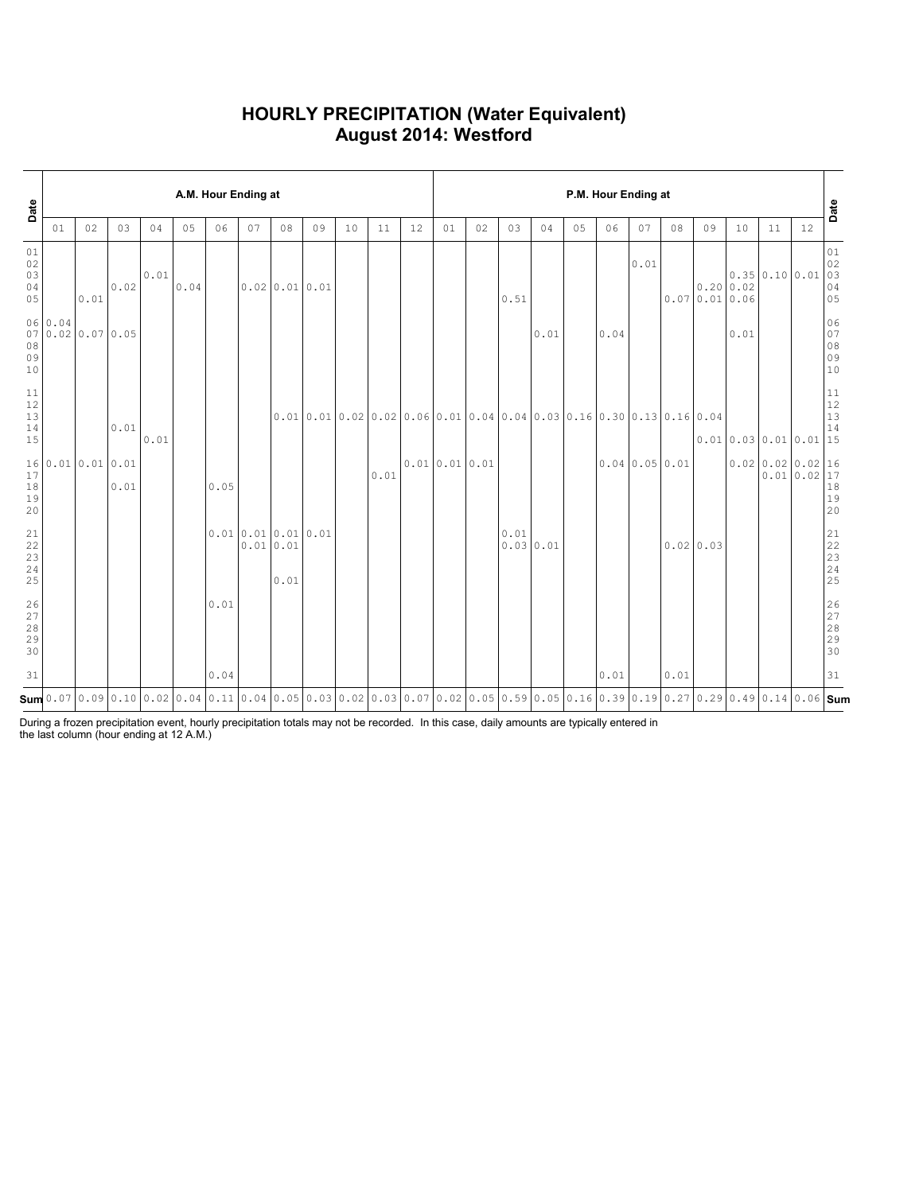### **HOURLY PRECIPITATION (Water Equivalent) August 2014: Westford**

|                                                               | A.M. Hour Ending at<br>Date |                   |      |      |      |                                                                                                                                                                                                                                                                                                                                |    |                                      |    |    |      |                                                                                                                                                                                                                                                               |              | P.M. Hour Ending at |                  |      |    |      |              |      |                                  |                     |                                    |            |                                         |  |  |
|---------------------------------------------------------------|-----------------------------|-------------------|------|------|------|--------------------------------------------------------------------------------------------------------------------------------------------------------------------------------------------------------------------------------------------------------------------------------------------------------------------------------|----|--------------------------------------|----|----|------|---------------------------------------------------------------------------------------------------------------------------------------------------------------------------------------------------------------------------------------------------------------|--------------|---------------------|------------------|------|----|------|--------------|------|----------------------------------|---------------------|------------------------------------|------------|-----------------------------------------|--|--|
|                                                               | 01                          | 02                | 03   | 04   | 05   | 06                                                                                                                                                                                                                                                                                                                             | 07 | 08                                   | 09 | 10 | 11   | 12                                                                                                                                                                                                                                                            | 01           | 02                  | 03               | 04   | 05 | 06   | 07           | 08   | 09                               | 10                  | 11                                 | 12         | Date                                    |  |  |
| 01<br>$02\,$<br>03<br>04<br>05                                |                             | 0.01              | 0.02 | 0.01 | 0.04 |                                                                                                                                                                                                                                                                                                                                |    | $0.02$ 0.01 0.01                     |    |    |      |                                                                                                                                                                                                                                                               |              |                     | 0.51             |      |    |      | 0.01         |      | $0.20 \mid 0.02$<br>0.070.010.06 |                     | $0.35 \mid 0.10 \mid 0.01$         |            | 01<br>$02$<br>03<br>04<br>05            |  |  |
| 08<br>09<br>10                                                | 06 0.04                     | 07 0.02 0.07 0.05 |      |      |      |                                                                                                                                                                                                                                                                                                                                |    |                                      |    |    |      |                                                                                                                                                                                                                                                               |              |                     |                  | 0.01 |    | 0.04 |              |      |                                  | 0.01                |                                    |            | 06<br>07<br>$08$<br>09<br>09<br>10      |  |  |
| $\begin{array}{c} 11 \\ 12 \end{array}$<br>13<br>$1\,4$<br>15 |                             |                   | 0.01 | 0.01 |      |                                                                                                                                                                                                                                                                                                                                |    |                                      |    |    |      | $[0.01 \, 0.01 \, 0.02 \, 0.02 \, 0.05 \, 0.06 \, 0.01 \, 0.04 \, 0.04 \, 0.03 \, 0.16 \, 0.30 \, 0.13 \, 0.16 \, 0.04 \, 0.04 \, 0.03 \, 0.04 \, 0.04 \, 0.04 \, 0.04 \, 0.04 \, 0.04 \, 0.04 \, 0.04 \, 0.04 \, 0.04 \, 0.04 \, 0.04 \, 0.04 \, 0.04 \, 0.$ |              |                     |                  |      |    |      |              |      |                                  | 0.010.030.010.01115 |                                    |            | $11\,$<br>12<br>13<br>14                |  |  |
| 17<br>18<br>19<br>20                                          |                             | 160.010.010.01    | 0.01 |      |      | 0.05                                                                                                                                                                                                                                                                                                                           |    |                                      |    |    | 0.01 |                                                                                                                                                                                                                                                               | 0.010.010.01 |                     |                  |      |    |      | 0.040.050.01 |      |                                  |                     | $0.02 \mid 0.02 \mid 0.02 \mid 16$ | 0.010.0217 | $18\,$<br>19<br>20                      |  |  |
| $\begin{array}{c} 21 \\ 22 \end{array}$<br>23<br>24<br>25     |                             |                   |      |      |      |                                                                                                                                                                                                                                                                                                                                |    | 0.010.010.010.01<br>0.010.01<br>0.01 |    |    |      |                                                                                                                                                                                                                                                               |              |                     | 0.01<br>0.030.01 |      |    |      |              |      | 0.02 0.03                        |                     |                                    |            | 21<br>$\frac{22}{23}$<br>24<br>25       |  |  |
| 26<br>$2\,7$<br>28<br>29<br>30                                |                             |                   |      |      |      | 0.01                                                                                                                                                                                                                                                                                                                           |    |                                      |    |    |      |                                                                                                                                                                                                                                                               |              |                     |                  |      |    |      |              |      |                                  |                     |                                    |            | 26<br>$\frac{27}{28}$<br>28<br>29<br>30 |  |  |
| 31                                                            |                             |                   |      |      |      | 0.04                                                                                                                                                                                                                                                                                                                           |    |                                      |    |    |      |                                                                                                                                                                                                                                                               |              |                     |                  |      |    | 0.01 |              | 0.01 |                                  |                     |                                    |            | 31                                      |  |  |
|                                                               |                             |                   |      |      |      | $\mathsf{Sum}$ 0.07 $\mid$ 0.09 $\mid$ 0.10 $\mid$ 0.02 $\mid$ 0.04 $\mid$ 0.11 $\mid$ 0.04 $\mid$ 0.05 $\mid$ 0.05 $\mid$ 0.03 $\mid$ 0.03 $\mid$ 0.07 $\mid$ 0.07 $\mid$ 0.07 $\mid$ 0.07 $\mid$ 0.05 $\mid$ 0.05 $\mid$ 0.16 $\mid$ 0.16 $\mid$ 0.19 $\mid$ 0.27 $\mid$ 0.29 $\mid$ 0.49 $\mid$ 0.14 $\mid$ 0.06 $\mid$ Sum |    |                                      |    |    |      |                                                                                                                                                                                                                                                               |              |                     |                  |      |    |      |              |      |                                  |                     |                                    |            |                                         |  |  |

During a frozen precipitation event, hourly precipitation totals may not be recorded. In this case, daily amounts are typically entered in the last column (hour ending at 12 A.M.)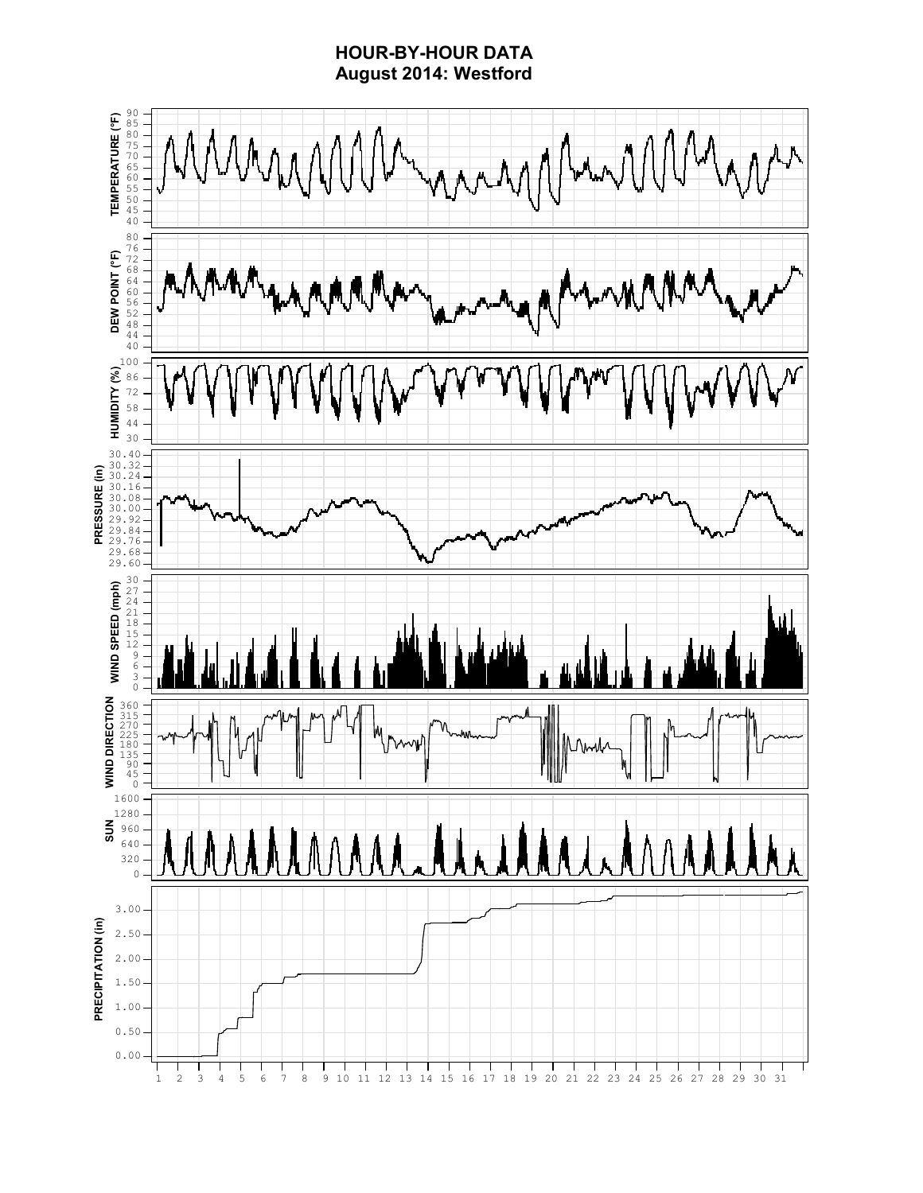### **HOUR-BY-HOUR DATA August 2014: Westford**